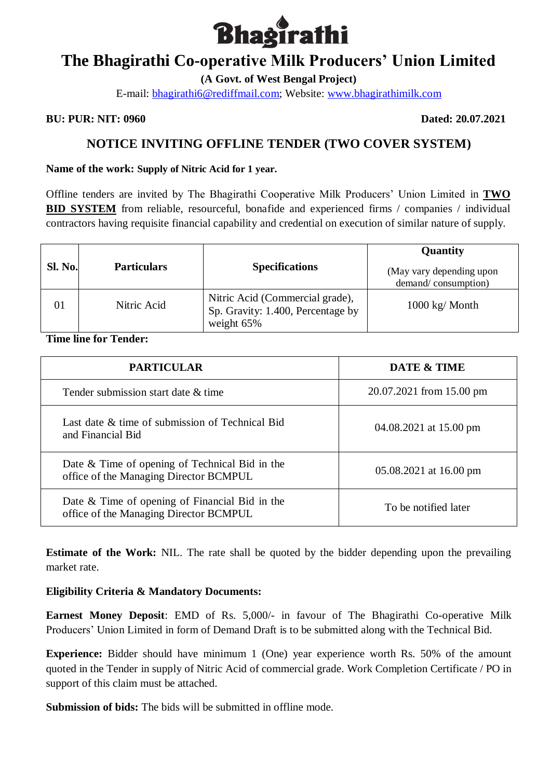

**(A Govt. of West Bengal Project)**

E-mail: [bhagirathi6@rediffmail.com;](mailto:bhagirathi6@rediffmail.com) Website: [www.bhagirathimilk.com](http://www.bhagirathimilk.com/)

#### **BU: PUR: NIT: 0960 Dated: 20.07.2021**

### **NOTICE INVITING OFFLINE TENDER (TWO COVER SYSTEM)**

#### **Name of the work: Supply of Nitric Acid for 1 year.**

Offline tenders are invited by The Bhagirathi Cooperative Milk Producers' Union Limited in **TWO BID SYSTEM** from reliable, resourceful, bonafide and experienced firms / companies / individual contractors having requisite financial capability and credential on execution of similar nature of supply.

|                |                    |                                                                                    | Quantity                                        |
|----------------|--------------------|------------------------------------------------------------------------------------|-------------------------------------------------|
| <b>Sl. No.</b> | <b>Particulars</b> | <b>Specifications</b>                                                              | (May vary depending upon<br>demand/consumption) |
| 01             | Nitric Acid        | Nitric Acid (Commercial grade),<br>Sp. Gravity: 1.400, Percentage by<br>weight 65% | $1000 \text{ kg}$ Month                         |

### **Time line for Tender:**

| <b>PARTICULAR</b>                                                                          | DATE & TIME              |
|--------------------------------------------------------------------------------------------|--------------------------|
| Tender submission start date & time                                                        | 20.07.2021 from 15.00 pm |
| Last date & time of submission of Technical Bid<br>and Financial Bid                       | 04.08.2021 at 15.00 pm   |
| Date & Time of opening of Technical Bid in the<br>office of the Managing Director BCMPUL   | $05.08.2021$ at 16.00 pm |
| Date $&$ Time of opening of Financial Bid in the<br>office of the Managing Director BCMPUL | To be notified later     |

**Estimate of the Work:** NIL. The rate shall be quoted by the bidder depending upon the prevailing market rate.

### **Eligibility Criteria & Mandatory Documents:**

**Earnest Money Deposit**: EMD of Rs. 5,000/- in favour of The Bhagirathi Co-operative Milk Producers' Union Limited in form of Demand Draft is to be submitted along with the Technical Bid.

**Experience:** Bidder should have minimum 1 (One) year experience worth Rs. 50% of the amount quoted in the Tender in supply of Nitric Acid of commercial grade. Work Completion Certificate / PO in support of this claim must be attached.

**Submission of bids:** The bids will be submitted in offline mode.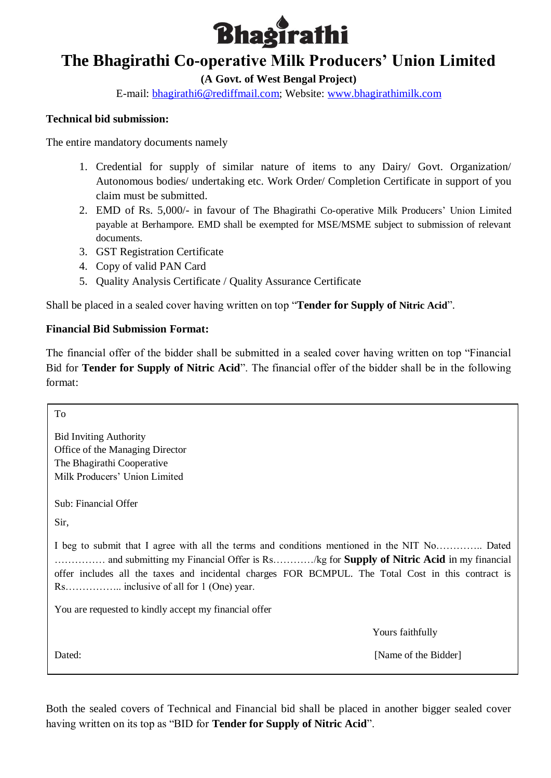

**(A Govt. of West Bengal Project)**

E-mail: [bhagirathi6@rediffmail.com;](mailto:bhagirathi6@rediffmail.com) Website: [www.bhagirathimilk.com](http://www.bhagirathimilk.com/)

### **Technical bid submission:**

The entire mandatory documents namely

- 1. Credential for supply of similar nature of items to any Dairy/ Govt. Organization/ Autonomous bodies/ undertaking etc. Work Order/ Completion Certificate in support of you claim must be submitted.
- 2. EMD of Rs. 5,000/- in favour of The Bhagirathi Co-operative Milk Producers' Union Limited payable at Berhampore. EMD shall be exempted for MSE/MSME subject to submission of relevant documents.
- 3. GST Registration Certificate
- 4. Copy of valid PAN Card
- 5. Quality Analysis Certificate / Quality Assurance Certificate

Shall be placed in a sealed cover having written on top "**Tender for Supply of Nitric Acid**".

#### **Financial Bid Submission Format:**

The financial offer of the bidder shall be submitted in a sealed cover having written on top "Financial Bid for **Tender for Supply of Nitric Acid**". The financial offer of the bidder shall be in the following format:

To Bid Inviting Authority Office of the Managing Director The Bhagirathi Cooperative Milk Producers' Union Limited Sub: Financial Offer Sir, I beg to submit that I agree with all the terms and conditions mentioned in the NIT No………….. Dated …………… and submitting my Financial Offer is Rs…………/kg for **Supply of Nitric Acid** in my financial offer includes all the taxes and incidental charges FOR BCMPUL. The Total Cost in this contract is Rs…………….. inclusive of all for 1 (One) year. You are requested to kindly accept my financial offer Yours faithfully Dated: [Name of the Bidder]

Both the sealed covers of Technical and Financial bid shall be placed in another bigger sealed cover having written on its top as "BID for **Tender for Supply of Nitric Acid**".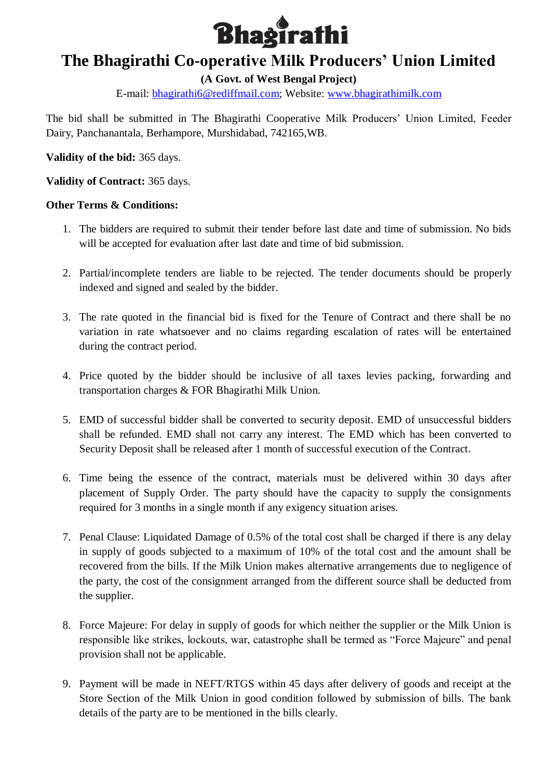

**(A Govt. of West Bengal Project)**

E-mail: [bhagirathi6@rediffmail.com;](mailto:bhagirathi6@rediffmail.com) Website: [www.bhagirathimilk.com](http://www.bhagirathimilk.com/)

The bid shall be submitted in The Bhagirathi Cooperative Milk Producers' Union Limited, Feeder Dairy, Panchanantala, Berhampore, Murshidabad, 742165,WB.

**Validity of the bid:** 365 days.

**Validity of Contract:** 365 days.

### **Other Terms & Conditions:**

- 1. The bidders are required to submit their tender before last date and time of submission. No bids will be accepted for evaluation after last date and time of bid submission.
- 2. Partial/incomplete tenders are liable to be rejected. The tender documents should be properly indexed and signed and sealed by the bidder.
- 3. The rate quoted in the financial bid is fixed for the Tenure of Contract and there shall be no variation in rate whatsoever and no claims regarding escalation of rates will be entertained during the contract period.
- 4. Price quoted by the bidder should be inclusive of all taxes levies packing, forwarding and transportation charges & FOR Bhagirathi Milk Union.
- 5. EMD of successful bidder shall be converted to security deposit. EMD of unsuccessful bidders shall be refunded. EMD shall not carry any interest. The EMD which has been converted to Security Deposit shall be released after 1 month of successful execution of the Contract.
- 6. Time being the essence of the contract, materials must be delivered within 30 days after placement of Supply Order. The party should have the capacity to supply the consignments required for 3 months in a single month if any exigency situation arises.
- 7. Penal Clause: Liquidated Damage of 0.5% of the total cost shall be charged if there is any delay in supply of goods subjected to a maximum of 10% of the total cost and the amount shall be recovered from the bills. If the Milk Union makes alternative arrangements due to negligence of the party, the cost of the consignment arranged from the different source shall be deducted from the supplier.
- 8. Force Majeure: For delay in supply of goods for which neither the supplier or the Milk Union is responsible like strikes, lockouts, war, catastrophe shall be termed as "Force Majeure" and penal provision shall not be applicable.
- 9. Payment will be made in NEFT/RTGS within 45 days after delivery of goods and receipt at the Store Section of the Milk Union in good condition followed by submission of bills. The bank details of the party are to be mentioned in the bills clearly.